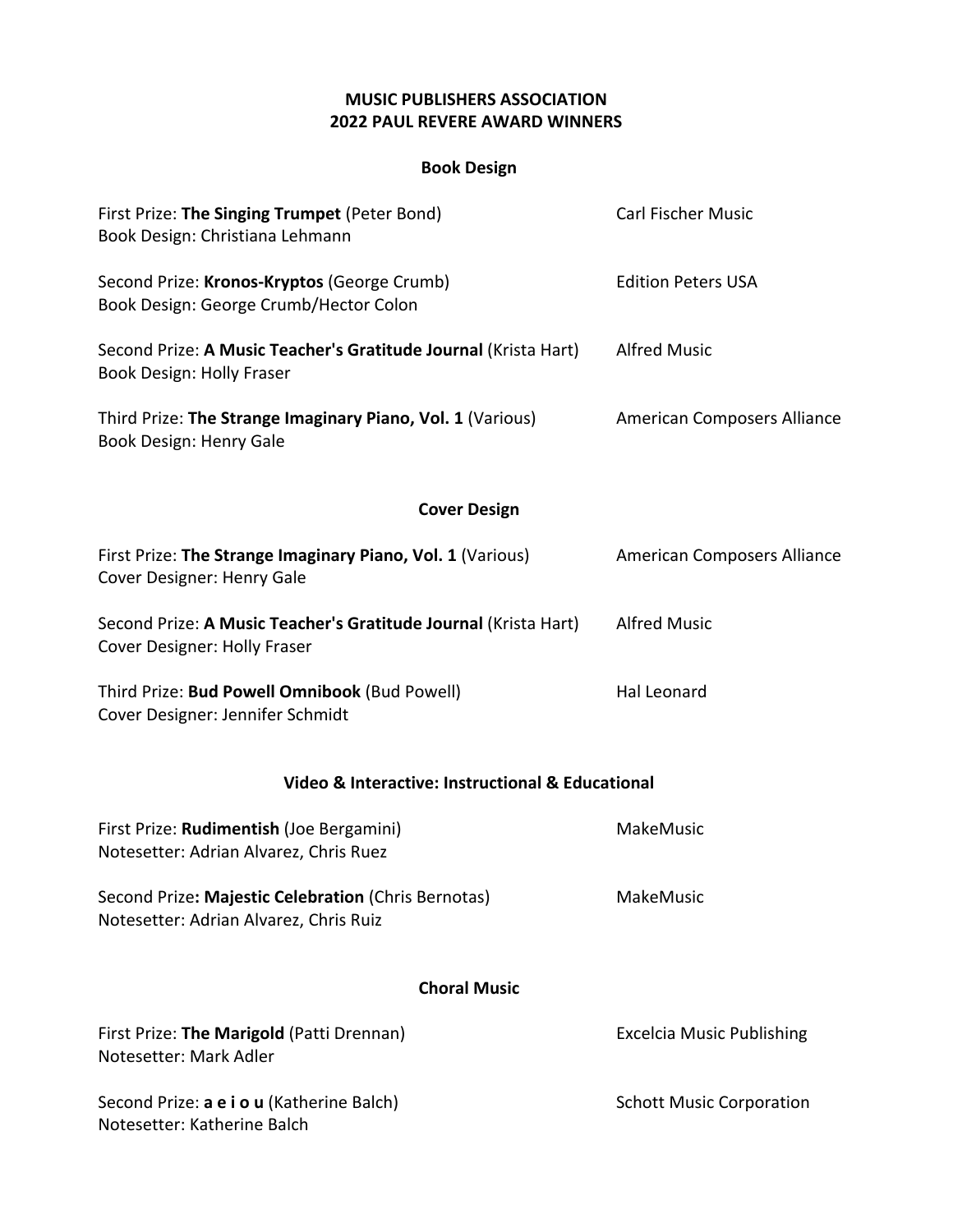## **MUSIC PUBLISHERS ASSOCIATION 2022 PAUL REVERE AWARD WINNERS**

## **Book Design**

| First Prize: The Singing Trumpet (Peter Bond)<br>Book Design: Christiana Lehmann                | <b>Carl Fischer Music</b>        |
|-------------------------------------------------------------------------------------------------|----------------------------------|
| Second Prize: Kronos-Kryptos (George Crumb)<br>Book Design: George Crumb/Hector Colon           | <b>Edition Peters USA</b>        |
| Second Prize: A Music Teacher's Gratitude Journal (Krista Hart)<br>Book Design: Holly Fraser    | <b>Alfred Music</b>              |
| Third Prize: The Strange Imaginary Piano, Vol. 1 (Various)<br>Book Design: Henry Gale           | American Composers Alliance      |
| <b>Cover Design</b>                                                                             |                                  |
| First Prize: The Strange Imaginary Piano, Vol. 1 (Various)<br>Cover Designer: Henry Gale        | American Composers Alliance      |
| Second Prize: A Music Teacher's Gratitude Journal (Krista Hart)<br>Cover Designer: Holly Fraser | <b>Alfred Music</b>              |
| Third Prize: Bud Powell Omnibook (Bud Powell)<br>Cover Designer: Jennifer Schmidt               | Hal Leonard                      |
| Video & Interactive: Instructional & Educational                                                |                                  |
| First Prize: Rudimentish (Joe Bergamini)<br>Notesetter: Adrian Alvarez, Chris Ruez              | MakeMusic                        |
| Second Prize: Majestic Celebration (Chris Bernotas)<br>Notesetter: Adrian Alvarez, Chris Ruiz   | MakeMusic                        |
| <b>Choral Music</b>                                                                             |                                  |
| First Prize: The Marigold (Patti Drennan)<br>Notesetter: Mark Adler                             | <b>Excelcia Music Publishing</b> |
| Second Prize: a e i o u (Katherine Balch)<br>Notesetter: Katherine Balch                        | <b>Schott Music Corporation</b>  |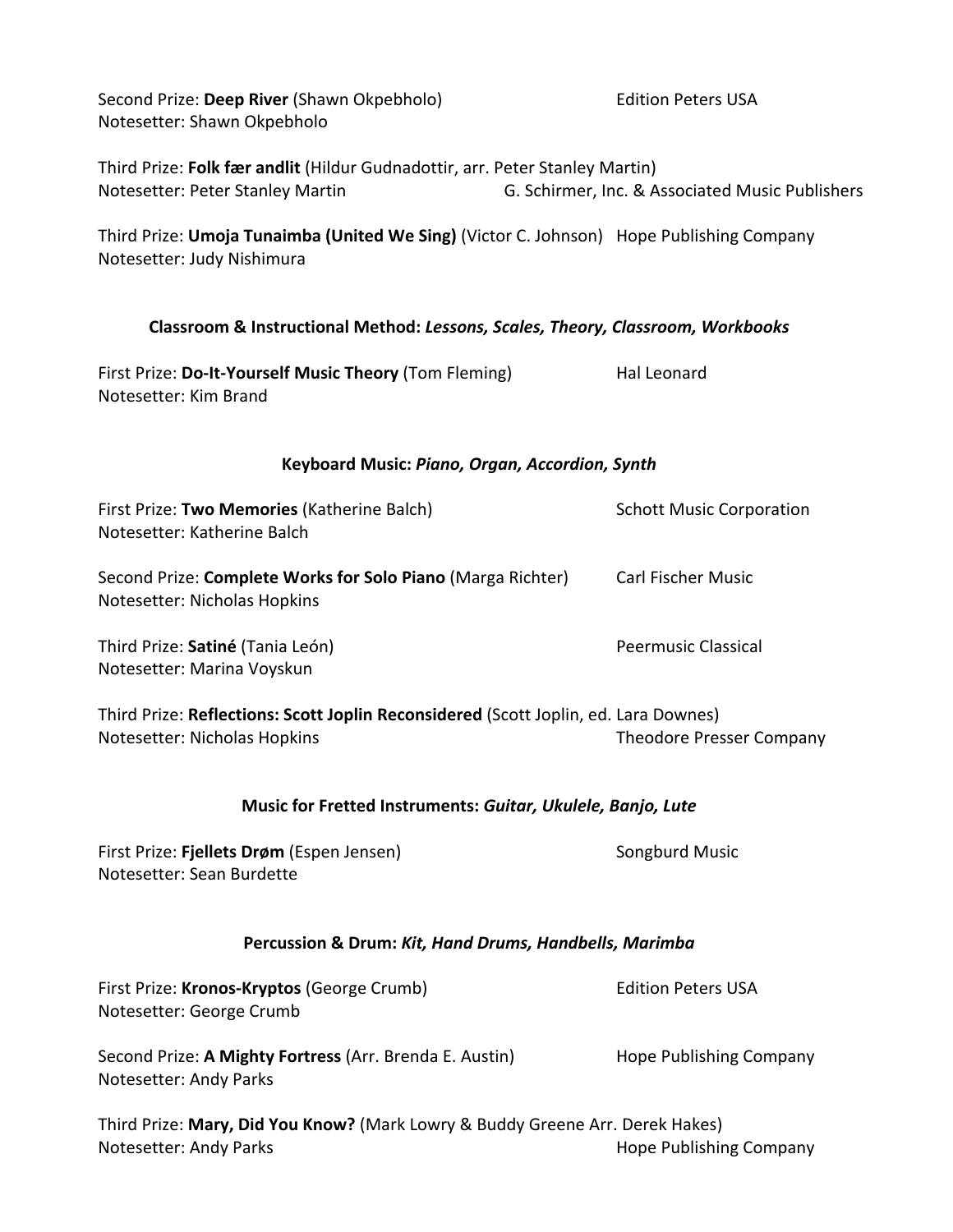| Second Prize: Deep River (Shawn Okpebholo)<br>Notesetter: Shawn Okpebholo                                                     | <b>Edition Peters USA</b>                       |  |  |  |
|-------------------------------------------------------------------------------------------------------------------------------|-------------------------------------------------|--|--|--|
| Third Prize: Folk fær andlit (Hildur Gudnadottir, arr. Peter Stanley Martin)<br>Notesetter: Peter Stanley Martin              | G. Schirmer, Inc. & Associated Music Publishers |  |  |  |
| Third Prize: <b>Umoja Tunaimba (United We Sing)</b> (Victor C. Johnson) Hope Publishing Company<br>Notesetter: Judy Nishimura |                                                 |  |  |  |
| Classroom & Instructional Method: Lessons, Scales, Theory, Classroom, Workbooks                                               |                                                 |  |  |  |
| First Prize: Do-It-Yourself Music Theory (Tom Fleming)<br>Notesetter: Kim Brand                                               | <b>Hal Leonard</b>                              |  |  |  |
| Keyboard Music: Piano, Organ, Accordion, Synth                                                                                |                                                 |  |  |  |
| First Prize: Two Memories (Katherine Balch)<br>Notesetter: Katherine Balch                                                    | <b>Schott Music Corporation</b>                 |  |  |  |
| Second Prize: Complete Works for Solo Piano (Marga Richter)<br>Notesetter: Nicholas Hopkins                                   | <b>Carl Fischer Music</b>                       |  |  |  |
| Third Prize: Satiné (Tania León)<br>Notesetter: Marina Voyskun                                                                | <b>Peermusic Classical</b>                      |  |  |  |
| Third Prize: Reflections: Scott Joplin Reconsidered (Scott Joplin, ed. Lara Downes)                                           |                                                 |  |  |  |
| Notesetter: Nicholas Hopkins                                                                                                  | <b>Theodore Presser Company</b>                 |  |  |  |
| Music for Fretted Instruments: Guitar, Ukulele, Banjo, Lute                                                                   |                                                 |  |  |  |
| First Prize: Fjellets Drøm (Espen Jensen)<br>Notesetter: Sean Burdette                                                        | Songburd Music                                  |  |  |  |
| Percussion & Drum: Kit, Hand Drums, Handbells, Marimba                                                                        |                                                 |  |  |  |
| First Prize: Kronos-Kryptos (George Crumb)<br>Notesetter: George Crumb                                                        | <b>Edition Peters USA</b>                       |  |  |  |
| Second Prize: A Mighty Fortress (Arr. Brenda E. Austin)<br>Notesetter: Andy Parks                                             | Hope Publishing Company                         |  |  |  |
| Third Prize: Mary, Did You Know? (Mark Lowry & Buddy Greene Arr. Derek Hakes)                                                 |                                                 |  |  |  |
| Notesetter: Andy Parks                                                                                                        | Hope Publishing Company                         |  |  |  |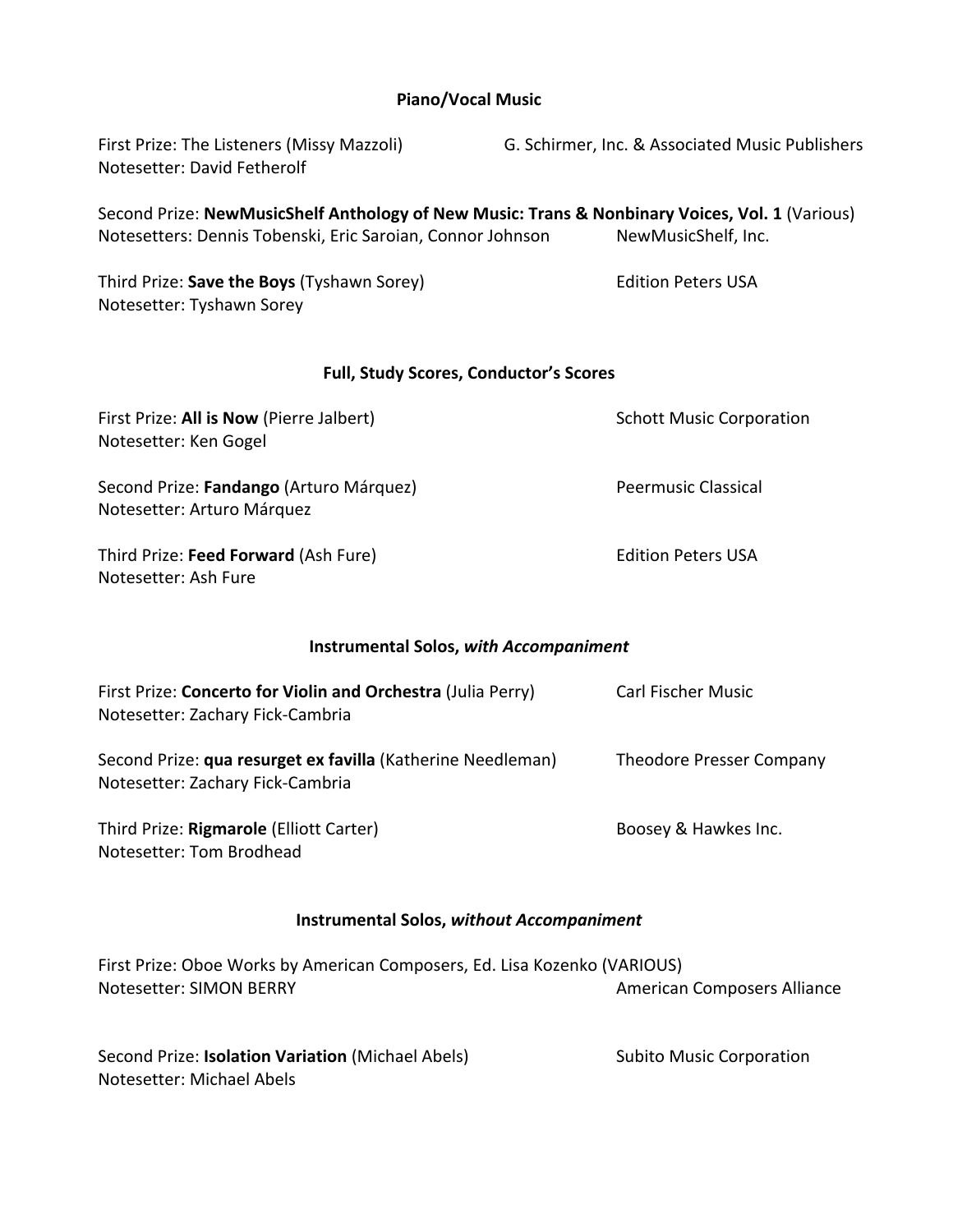## **Piano/Vocal Music**

| First Prize: The Listeners (Missy Mazzoli)<br>Notesetter: David Fetherolf                            | G. Schirmer, Inc. & Associated Music Publishers                                                                       |
|------------------------------------------------------------------------------------------------------|-----------------------------------------------------------------------------------------------------------------------|
| Notesetters: Dennis Tobenski, Eric Saroian, Connor Johnson                                           | Second Prize: NewMusicShelf Anthology of New Music: Trans & Nonbinary Voices, Vol. 1 (Various)<br>NewMusicShelf, Inc. |
| Third Prize: Save the Boys (Tyshawn Sorey)<br>Notesetter: Tyshawn Sorey                              | <b>Edition Peters USA</b>                                                                                             |
| <b>Full, Study Scores, Conductor's Scores</b>                                                        |                                                                                                                       |
| First Prize: All is Now (Pierre Jalbert)<br>Notesetter: Ken Gogel                                    | <b>Schott Music Corporation</b>                                                                                       |
| Second Prize: Fandango (Arturo Márquez)<br>Notesetter: Arturo Márquez                                | <b>Peermusic Classical</b>                                                                                            |
| Third Prize: Feed Forward (Ash Fure)<br>Notesetter: Ash Fure                                         | <b>Edition Peters USA</b>                                                                                             |
| <b>Instrumental Solos, with Accompaniment</b>                                                        |                                                                                                                       |
| First Prize: Concerto for Violin and Orchestra (Julia Perry)<br>Notesetter: Zachary Fick-Cambria     | Carl Fischer Music                                                                                                    |
| Second Prize: qua resurget ex favilla (Katherine Needleman)<br>Notesetter: Zachary Fick-Cambria      | Theodore Presser Company                                                                                              |
| Third Prize: Rigmarole (Elliott Carter)<br>Notesetter: Tom Brodhead                                  | Boosey & Hawkes Inc.                                                                                                  |
| <b>Instrumental Solos, without Accompaniment</b>                                                     |                                                                                                                       |
| First Prize: Oboe Works by American Composers, Ed. Lisa Kozenko (VARIOUS)<br>Notesetter: SIMON BERRY | <b>American Composers Alliance</b>                                                                                    |
| Second Prize: Isolation Variation (Michael Abels)                                                    | <b>Subito Music Corporation</b>                                                                                       |

Notesetter: Michael Abels